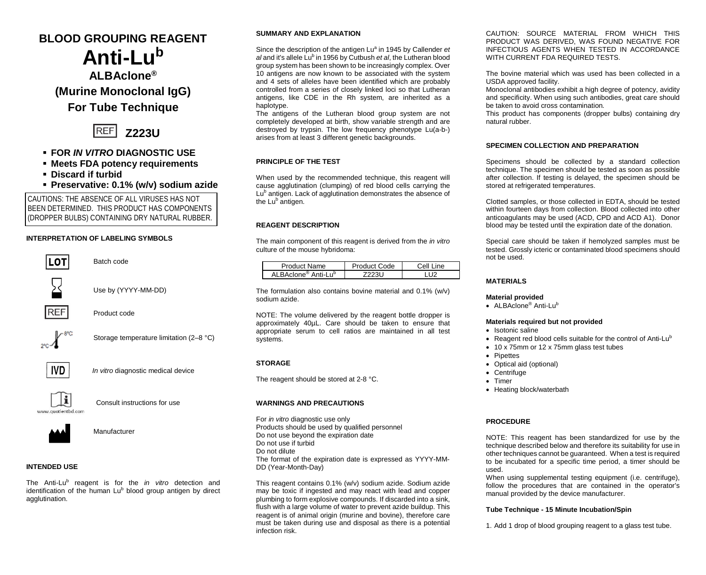# **BLOOD GROUPING REAGENT Anti-Lu<sup>b</sup>**

# **ALBAclone® (Murine Monoclonal IgG)**

**For Tube Technique**



# **FOR** *IN VITRO* **DIAGNOSTIC USE**

- **Meets FDA potency requirements**
- **Discard if turbid**
- **Preservative: 0.1% (w/v) sodium azide**

CAUTIONS: THE ABSENCE OF ALL VIRUSES HAS NOT BEEN DETERMINED. THIS PRODUCT HAS COMPONENTS (DROPPER BULBS) CONTAINING DRY NATURAL RUBBER.

# **INTERPRETATION OF LABELING SYMBOLS**



Batch code



Use by (YYYY-MM-DD)



Product code



Storage temperature limitation (2–8 °C)



*In vitro* diagnostic medical device



Consult instructions for use



Manufacturer

# **INTENDED USE**

The Anti-Lu<sup>b</sup> reagent is for the *in vitro* detection and identification of the human Lu<sup>b</sup> blood group antigen by direct agglutination.

### **SUMMARY AND EXPLANATION**

Since the description of the antigen Lu<sup>a</sup> in 1945 by Callender *et al* and it's allele Lu<sup>b</sup> in 1956 by Cutbush *et al*, the Lutheran blood group system has been shown to be increasingly complex. Over 10 antigens are now known to be associated with the system and 4 sets of alleles have been identified which are probably controlled from a series of closely linked loci so that Lutheran antigens, like CDE in the Rh system, are inherited as a haplotype.

The antigens of the Lutheran blood group system are not completely developed at birth, show variable strength and are destroyed by trypsin. The low frequency phenotype Lu(a-b-) arises from at least 3 different genetic backgrounds.

# **PRINCIPLE OF THE TEST**

When used by the recommended technique, this reagent will cause agglutination (clumping) of red blood cells carrying the Lu<sup>b</sup> antigen. Lack of agglutination demonstrates the absence of the Lu<sup>b</sup> antigen.

### **REAGENT DESCRIPTION**

The main component of this reagent is derived from the *in vitro*  culture of the mouse hybridoma:

| Product Name                                | Product Code | Cell Line |
|---------------------------------------------|--------------|-----------|
| ALBAclone <sup>®</sup> Anti-Lu <sup>b</sup> |              | 112       |

The formulation also contains bovine material and 0.1% (w/v) sodium azide.

NOTE: The volume delivered by the reagent bottle dropper is approximately 40µL. Care should be taken to ensure that appropriate serum to cell ratios are maintained in all test systems.

# **STORAGE**

The reagent should be stored at 2-8 °C.

#### **WARNINGS AND PRECAUTIONS**

For *in vitro* diagnostic use only Products should be used by qualified personnel Do not use beyond the expiration date Do not use if turbid Do not dilute The format of the expiration date is expressed as YYYY-MM-DD (Year-Month-Day)

This reagent contains 0.1% (w/v) sodium azide. Sodium azide may be toxic if ingested and may react with lead and copper plumbing to form explosive compounds. If discarded into a sink, flush with a large volume of water to prevent azide buildup. This reagent is of animal origin (murine and bovine), therefore care must be taken during use and disposal as there is a potential infection risk.

CAUTION: SOURCE MATERIAL FROM WHICH THIS PRODUCT WAS DERIVED, WAS FOUND NEGATIVE FOR INFECTIOUS AGENTS WHEN TESTED IN ACCORDANCE WITH CURRENT FDA REQUIRED TESTS.

The bovine material which was used has been collected in a USDA approved facility.

Monoclonal antibodies exhibit a high degree of potency, avidity and specificity. When using such antibodies, great care should be taken to avoid cross contamination*.*

This product has components (dropper bulbs) containing dry natural rubber.

#### **SPECIMEN COLLECTION AND PREPARATION**

Specimens should be collected by a standard collection technique. The specimen should be tested as soon as possible after collection. If testing is delayed, the specimen should be stored at refrigerated temperatures.

Clotted samples, or those collected in EDTA, should be tested within fourteen days from collection. Blood collected into other anticoagulants may be used (ACD, CPD and ACD A1). Donor blood may be tested until the expiration date of the donation.

Special care should be taken if hemolyzed samples must be tested. Grossly icteric or contaminated blood specimens should not be used.

# **MATERIALS**

#### **Material provided**

• ALBAclone<sup>®</sup> Anti-Lu<sup>b</sup>

#### **Materials required but not provided**

- Isotonic saline
- Reagent red blood cells suitable for the control of Anti-Lu<sup>b</sup>
- 10 x 75mm or 12 x 75mm glass test tubes
- **Pipettes**
- Optical aid (optional)
- Centrifuge
- Timer
- Heating block/waterbath

# **PROCEDURE**

NOTE: This reagent has been standardized for use by the technique described below and therefore its suitability for use in other techniques cannot be guaranteed. When a test is required to be incubated for a specific time period, a timer should be used.

When using supplemental testing equipment (i.e. centrifuge), follow the procedures that are contained in the operator's manual provided by the device manufacturer.

#### **Tube Technique - 15 Minute Incubation/Spin**

1. Add 1 drop of blood grouping reagent to a glass test tube.